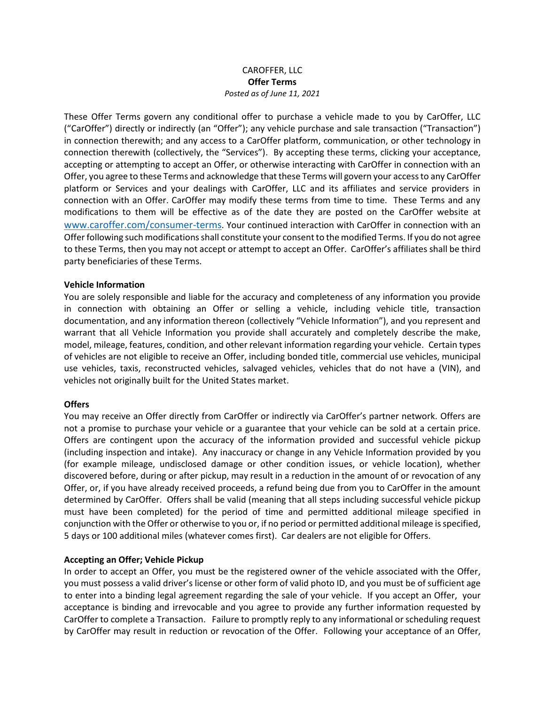## CAROFFER, LLC **Offer Terms** *Posted as of June 11, 2021*

These Offer Terms govern any conditional offer to purchase a vehicle made to you by CarOffer, LLC ("CarOffer") directly or indirectly (an "Offer"); any vehicle purchase and sale transaction ("Transaction") in connection therewith; and any access to a CarOffer platform, communication, or other technology in connection therewith (collectively, the "Services"). By accepting these terms, clicking your acceptance, accepting or attempting to accept an Offer, or otherwise interacting with CarOffer in connection with an Offer, you agree to these Terms and acknowledge that these Terms will govern your access to any CarOffer platform or Services and your dealings with CarOffer, LLC and its affiliates and service providers in connection with an Offer. CarOffer may modify these terms from time to time. These Terms and any modifications to them will be effective as of the date they are posted on the CarOffer website at [www.caroffer.com/consumer-terms](http://www.caroffer.com/consumer-terms). Your continued interaction with CarOffer in connection with an Offer following such modifications shall constitute your consent to the modified Terms. If you do not agree to these Terms, then you may not accept or attempt to accept an Offer. CarOffer's affiliates shall be third party beneficiaries of these Terms.

#### **Vehicle Information**

You are solely responsible and liable for the accuracy and completeness of any information you provide in connection with obtaining an Offer or selling a vehicle, including vehicle title, transaction documentation, and any information thereon (collectively "Vehicle Information"), and you represent and warrant that all Vehicle Information you provide shall accurately and completely describe the make, model, mileage, features, condition, and other relevant information regarding your vehicle. Certain types of vehicles are not eligible to receive an Offer, including bonded title, commercial use vehicles, municipal use vehicles, taxis, reconstructed vehicles, salvaged vehicles, vehicles that do not have a (VIN), and vehicles not originally built for the United States market.

#### **Offers**

You may receive an Offer directly from CarOffer or indirectly via CarOffer's partner network. Offers are not a promise to purchase your vehicle or a guarantee that your vehicle can be sold at a certain price. Offers are contingent upon the accuracy of the information provided and successful vehicle pickup (including inspection and intake). Any inaccuracy or change in any Vehicle Information provided by you (for example mileage, undisclosed damage or other condition issues, or vehicle location), whether discovered before, during or after pickup, may result in a reduction in the amount of or revocation of any Offer, or, if you have already received proceeds, a refund being due from you to CarOffer in the amount determined by CarOffer. Offers shall be valid (meaning that all steps including successful vehicle pickup must have been completed) for the period of time and permitted additional mileage specified in conjunction with the Offer or otherwise to you or, if no period or permitted additional mileage is specified, 5 days or 100 additional miles (whatever comes first). Car dealers are not eligible for Offers.

#### **Accepting an Offer; Vehicle Pickup**

In order to accept an Offer, you must be the registered owner of the vehicle associated with the Offer, you must possess a valid driver's license or other form of valid photo ID, and you must be of sufficient age to enter into a binding legal agreement regarding the sale of your vehicle. If you accept an Offer, your acceptance is binding and irrevocable and you agree to provide any further information requested by CarOffer to complete a Transaction. Failure to promptly reply to any informational or scheduling request by CarOffer may result in reduction or revocation of the Offer. Following your acceptance of an Offer,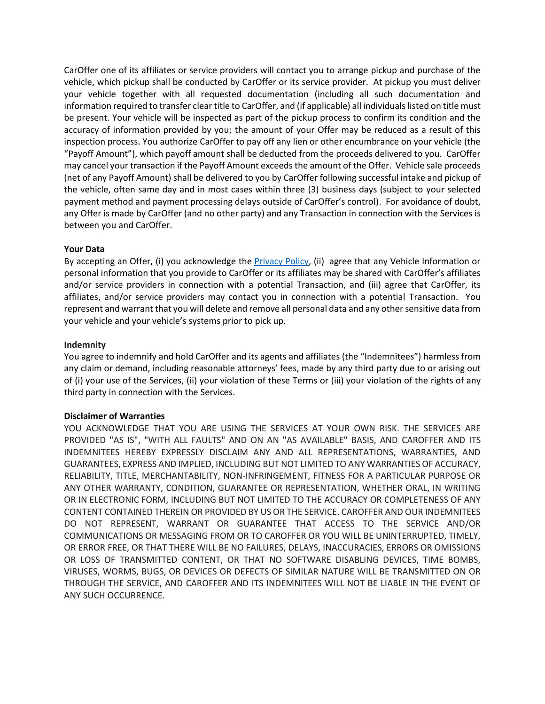CarOffer one of its affiliates or service providers will contact you to arrange pickup and purchase of the vehicle, which pickup shall be conducted by CarOffer or its service provider. At pickup you must deliver your vehicle together with all requested documentation (including all such documentation and information required to transfer clear title to CarOffer, and (if applicable) all individuals listed on title must be present. Your vehicle will be inspected as part of the pickup process to confirm its condition and the accuracy of information provided by you; the amount of your Offer may be reduced as a result of this inspection process. You authorize CarOffer to pay off any lien or other encumbrance on your vehicle (the "Payoff Amount"), which payoff amount shall be deducted from the proceeds delivered to you. CarOffer may cancel your transaction if the Payoff Amount exceeds the amount of the Offer. Vehicle sale proceeds (net of any Payoff Amount) shall be delivered to you by CarOffer following successful intake and pickup of the vehicle, often same day and in most cases within three (3) business days (subject to your selected payment method and payment processing delays outside of CarOffer's control). For avoidance of doubt, any Offer is made by CarOffer (and no other party) and any Transaction in connection with the Services is between you and CarOffer.

# **Your Data**

By accepting an Offer, (i) you acknowledge the [Privacy Policy,](https://www.caroffer.com/hubfs/Documents/CarOffer%20Privacy%20Policy.pdf) (ii) agree that any Vehicle Information or personal information that you provide to CarOffer or its affiliates may be shared with CarOffer's affiliates and/or service providers in connection with a potential Transaction, and (iii) agree that CarOffer, its affiliates, and/or service providers may contact you in connection with a potential Transaction. You represent and warrant that you will delete and remove all personal data and any other sensitive data from your vehicle and your vehicle's systems prior to pick up.

# **Indemnity**

You agree to indemnify and hold CarOffer and its agents and affiliates (the "Indemnitees") harmless from any claim or demand, including reasonable attorneys' fees, made by any third party due to or arising out of (i) your use of the Services, (ii) your violation of these Terms or (iii) your violation of the rights of any third party in connection with the Services.

# **Disclaimer of Warranties**

YOU ACKNOWLEDGE THAT YOU ARE USING THE SERVICES AT YOUR OWN RISK. THE SERVICES ARE PROVIDED "AS IS", "WITH ALL FAULTS" AND ON AN "AS AVAILABLE" BASIS, AND CAROFFER AND ITS INDEMNITEES HEREBY EXPRESSLY DISCLAIM ANY AND ALL REPRESENTATIONS, WARRANTIES, AND GUARANTEES, EXPRESS AND IMPLIED, INCLUDING BUT NOT LIMITED TO ANY WARRANTIES OF ACCURACY, RELIABILITY, TITLE, MERCHANTABILITY, NON-INFRINGEMENT, FITNESS FOR A PARTICULAR PURPOSE OR ANY OTHER WARRANTY, CONDITION, GUARANTEE OR REPRESENTATION, WHETHER ORAL, IN WRITING OR IN ELECTRONIC FORM, INCLUDING BUT NOT LIMITED TO THE ACCURACY OR COMPLETENESS OF ANY CONTENT CONTAINED THEREIN OR PROVIDED BY US OR THE SERVICE. CAROFFER AND OUR INDEMNITEES DO NOT REPRESENT, WARRANT OR GUARANTEE THAT ACCESS TO THE SERVICE AND/OR COMMUNICATIONS OR MESSAGING FROM OR TO CAROFFER OR YOU WILL BE UNINTERRUPTED, TIMELY, OR ERROR FREE, OR THAT THERE WILL BE NO FAILURES, DELAYS, INACCURACIES, ERRORS OR OMISSIONS OR LOSS OF TRANSMITTED CONTENT, OR THAT NO SOFTWARE DISABLING DEVICES, TIME BOMBS, VIRUSES, WORMS, BUGS, OR DEVICES OR DEFECTS OF SIMILAR NATURE WILL BE TRANSMITTED ON OR THROUGH THE SERVICE, AND CAROFFER AND ITS INDEMNITEES WILL NOT BE LIABLE IN THE EVENT OF ANY SUCH OCCURRENCE.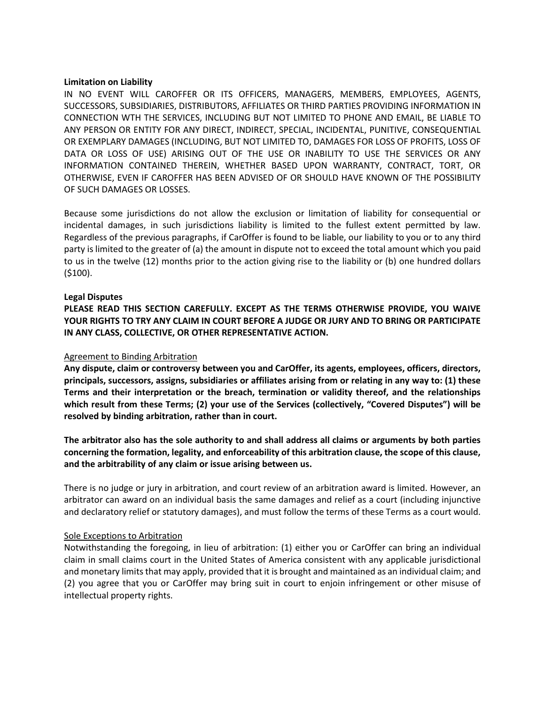#### **Limitation on Liability**

IN NO EVENT WILL CAROFFER OR ITS OFFICERS, MANAGERS, MEMBERS, EMPLOYEES, AGENTS, SUCCESSORS, SUBSIDIARIES, DISTRIBUTORS, AFFILIATES OR THIRD PARTIES PROVIDING INFORMATION IN CONNECTION WTH THE SERVICES, INCLUDING BUT NOT LIMITED TO PHONE AND EMAIL, BE LIABLE TO ANY PERSON OR ENTITY FOR ANY DIRECT, INDIRECT, SPECIAL, INCIDENTAL, PUNITIVE, CONSEQUENTIAL OR EXEMPLARY DAMAGES (INCLUDING, BUT NOT LIMITED TO, DAMAGES FOR LOSS OF PROFITS, LOSS OF DATA OR LOSS OF USE) ARISING OUT OF THE USE OR INABILITY TO USE THE SERVICES OR ANY INFORMATION CONTAINED THEREIN, WHETHER BASED UPON WARRANTY, CONTRACT, TORT, OR OTHERWISE, EVEN IF CAROFFER HAS BEEN ADVISED OF OR SHOULD HAVE KNOWN OF THE POSSIBILITY OF SUCH DAMAGES OR LOSSES.

Because some jurisdictions do not allow the exclusion or limitation of liability for consequential or incidental damages, in such jurisdictions liability is limited to the fullest extent permitted by law. Regardless of the previous paragraphs, if CarOffer is found to be liable, our liability to you or to any third party is limited to the greater of (a) the amount in dispute not to exceed the total amount which you paid to us in the twelve (12) months prior to the action giving rise to the liability or (b) one hundred dollars (\$100).

#### **Legal Disputes**

**PLEASE READ THIS SECTION CAREFULLY. EXCEPT AS THE TERMS OTHERWISE PROVIDE, YOU WAIVE YOUR RIGHTS TO TRY ANY CLAIM IN COURT BEFORE A JUDGE OR JURY AND TO BRING OR PARTICIPATE IN ANY CLASS, COLLECTIVE, OR OTHER REPRESENTATIVE ACTION.**

#### Agreement to Binding Arbitration

**Any dispute, claim or controversy between you and CarOffer, its agents, employees, officers, directors, principals, successors, assigns, subsidiaries or affiliates arising from or relating in any way to: (1) these Terms and their interpretation or the breach, termination or validity thereof, and the relationships which result from these Terms; (2) your use of the Services (collectively, "Covered Disputes") will be resolved by binding arbitration, rather than in court.**

The arbitrator also has the sole authority to and shall address all claims or arguments by both parties **concerning the formation, legality, and enforceability of this arbitration clause, the scope of this clause, and the arbitrability of any claim or issue arising between us.**

There is no judge or jury in arbitration, and court review of an arbitration award is limited. However, an arbitrator can award on an individual basis the same damages and relief as a court (including injunctive and declaratory relief or statutory damages), and must follow the terms of these Terms as a court would.

#### Sole Exceptions to Arbitration

Notwithstanding the foregoing, in lieu of arbitration: (1) either you or CarOffer can bring an individual claim in small claims court in the United States of America consistent with any applicable jurisdictional and monetary limits that may apply, provided that it is brought and maintained as an individual claim; and (2) you agree that you or CarOffer may bring suit in court to enjoin infringement or other misuse of intellectual property rights.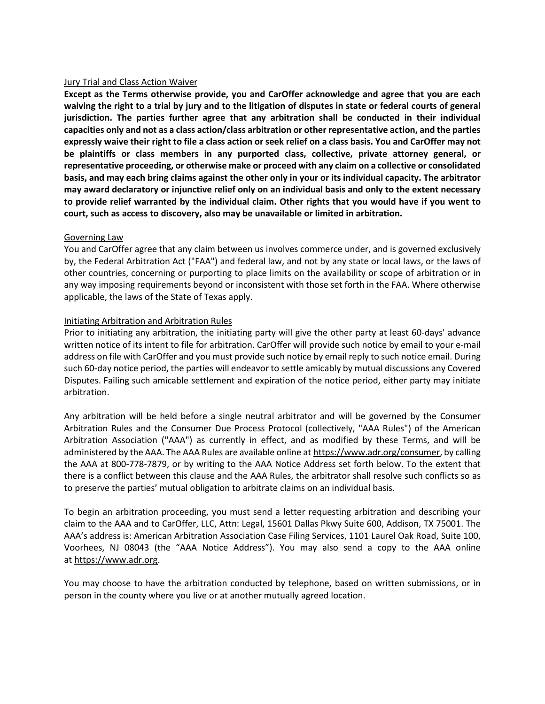### Jury Trial and Class Action Waiver

**Except as the Terms otherwise provide, you and CarOffer acknowledge and agree that you are each** waiving the right to a trial by jury and to the litigation of disputes in state or federal courts of general **jurisdiction. The parties further agree that any arbitration shall be conducted in their individual capacities only and not as a class action/class arbitration or other representative action, and the parties** expressly waive their right to file a class action or seek relief on a class basis. You and CarOffer may not **be plaintiffs or class members in any purported class, collective, private attorney general, or representative proceeding, or otherwise make or proceed with any claim on a collective or consolidated** basis, and may each bring claims against the other only in your or its individual capacity. The arbitrator **may award declaratory or injunctive relief only on an individual basis and only to the extent necessary** to provide relief warranted by the individual claim. Other rights that you would have if you went to **court, such as access to discovery, also may be unavailable or limited in arbitration.**

## Governing Law

You and CarOffer agree that any claim between us involves commerce under, and is governed exclusively by, the Federal Arbitration Act ("FAA") and federal law, and not by any state or local laws, or the laws of other countries, concerning or purporting to place limits on the availability or scope of arbitration or in any way imposing requirements beyond or inconsistent with those set forth in the FAA. Where otherwise applicable, the laws of the State of Texas apply.

## Initiating Arbitration and Arbitration Rules

Prior to initiating any arbitration, the initiating party will give the other party at least 60-days' advance written notice of its intent to file for arbitration. CarOffer will provide such notice by email to your e-mail address on file with CarOffer and you must provide such notice by email reply to such notice email. During such 60-day notice period, the parties will endeavor to settle amicably by mutual discussions any Covered Disputes. Failing such amicable settlement and expiration of the notice period, either party may initiate arbitration.

Any arbitration will be held before a single neutral arbitrator and will be governed by the Consumer Arbitration Rules and the Consumer Due Process Protocol (collectively, "AAA Rules") of the American Arbitration Association ("AAA") as currently in effect, and as modified by these Terms, and will be administered by the AAA. The AAA Rules are available online at [https://www.adr.org/consumer,](https://www.adr.org/consumer) by calling the AAA at 800-778-7879, or by writing to the AAA Notice Address set forth below. To the extent that there is a conflict between this clause and the AAA Rules, the arbitrator shall resolve such conflicts so as to preserve the parties' mutual obligation to arbitrate claims on an individual basis.

To begin an arbitration proceeding, you must send a letter requesting arbitration and describing your claim to the AAA and to CarOffer, LLC, Attn: Legal, 15601 Dallas Pkwy Suite 600, Addison, TX 75001. The AAA's address is: American Arbitration Association Case Filing Services, 1101 Laurel Oak Road, Suite 100, Voorhees, NJ 08043 (the "AAA Notice Address"). You may also send a copy to the AAA online at [https://www.adr.org.](https://www.adr.org/)

You may choose to have the arbitration conducted by telephone, based on written submissions, or in person in the county where you live or at another mutually agreed location.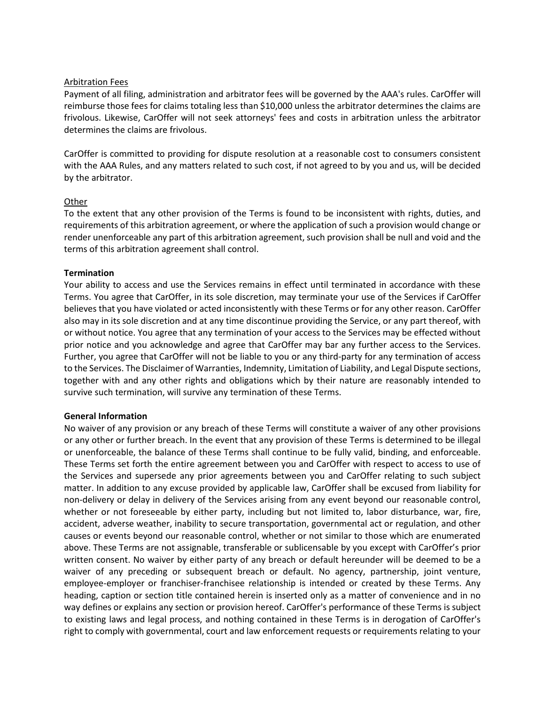## Arbitration Fees

Payment of all filing, administration and arbitrator fees will be governed by the AAA's rules. CarOffer will reimburse those fees for claims totaling less than \$10,000 unless the arbitrator determines the claims are frivolous. Likewise, CarOffer will not seek attorneys' fees and costs in arbitration unless the arbitrator determines the claims are frivolous.

CarOffer is committed to providing for dispute resolution at a reasonable cost to consumers consistent with the AAA Rules, and any matters related to such cost, if not agreed to by you and us, will be decided by the arbitrator.

## **Other**

To the extent that any other provision of the Terms is found to be inconsistent with rights, duties, and requirements of this arbitration agreement, or where the application ofsuch a provision would change or render unenforceable any part of this arbitration agreement, such provision shall be null and void and the terms of this arbitration agreement shall control.

## **Termination**

Your ability to access and use the Services remains in effect until terminated in accordance with these Terms. You agree that CarOffer, in its sole discretion, may terminate your use of the Services if CarOffer believes that you have violated or acted inconsistently with these Terms or for any other reason. CarOffer also may in its sole discretion and at any time discontinue providing the Service, or any part thereof, with or without notice. You agree that any termination of your access to the Services may be effected without prior notice and you acknowledge and agree that CarOffer may bar any further access to the Services. Further, you agree that CarOffer will not be liable to you or any third-party for any termination of access to the Services. The Disclaimer of Warranties, Indemnity, Limitation of Liability, and Legal Dispute sections, together with and any other rights and obligations which by their nature are reasonably intended to survive such termination, will survive any termination of these Terms.

#### **General Information**

No waiver of any provision or any breach of these Terms will constitute a waiver of any other provisions or any other or further breach. In the event that any provision of these Terms is determined to be illegal or unenforceable, the balance of these Terms shall continue to be fully valid, binding, and enforceable. These Terms set forth the entire agreement between you and CarOffer with respect to access to use of the Services and supersede any prior agreements between you and CarOffer relating to such subject matter. In addition to any excuse provided by applicable law, CarOffer shall be excused from liability for non-delivery or delay in delivery of the Services arising from any event beyond our reasonable control, whether or not foreseeable by either party, including but not limited to, labor disturbance, war, fire, accident, adverse weather, inability to secure transportation, governmental act or regulation, and other causes or events beyond our reasonable control, whether or not similar to those which are enumerated above. These Terms are not assignable, transferable or sublicensable by you except with CarOffer's prior written consent. No waiver by either party of any breach or default hereunder will be deemed to be a waiver of any preceding or subsequent breach or default. No agency, partnership, joint venture, employee-employer or franchiser-franchisee relationship is intended or created by these Terms. Any heading, caption or section title contained herein is inserted only as a matter of convenience and in no way defines or explains any section or provision hereof. CarOffer's performance of these Terms is subject to existing laws and legal process, and nothing contained in these Terms is in derogation of CarOffer's right to comply with governmental, court and law enforcement requests or requirements relating to your